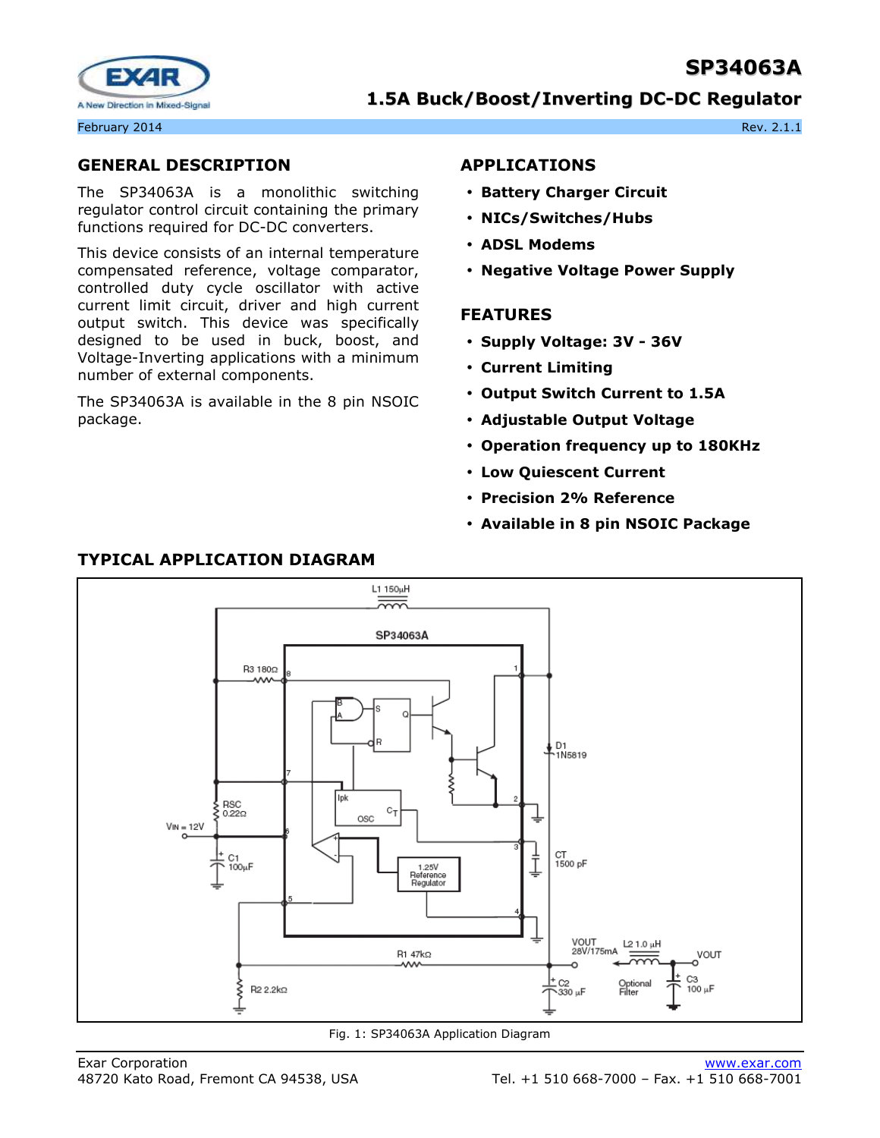# **SP34063A**



# **1.5A Buck/Boost/Inverting DC-DC Regulator**

February 2014 **Rev. 2.1.1** Rev. 2.1.1

# **GENERAL DESCRIPTION**

The SP34063A is a monolithic switching regulator control circuit containing the primary functions required for DC-DC converters.

This device consists of an internal temperature compensated reference, voltage comparator, controlled duty cycle oscillator with active current limit circuit, driver and high current output switch. This device was specifically designed to be used in buck, boost, and Voltage-Inverting applications with a minimum number of external components.

The SP34063A is available in the 8 pin NSOIC package.

# **APPLICATIONS**

- **Battery Charger Circuit**
- **NICs/Switches/Hubs**
- **ADSL Modems**
- **Negative Voltage Power Supply**

#### **FEATURES**

- **Supply Voltage: 3V 36V**
- **Current Limiting**
- **Output Switch Current to 1.5A**
- **Adjustable Output Voltage**
- **Operation frequency up to 180KHz**
- **Low Quiescent Current**
- **Precision 2% Reference**
- **Available in 8 pin NSOIC Package**



Fig. 1: SP34063A Application Diagram

### **TYPICAL APPLICATION DIAGRAM**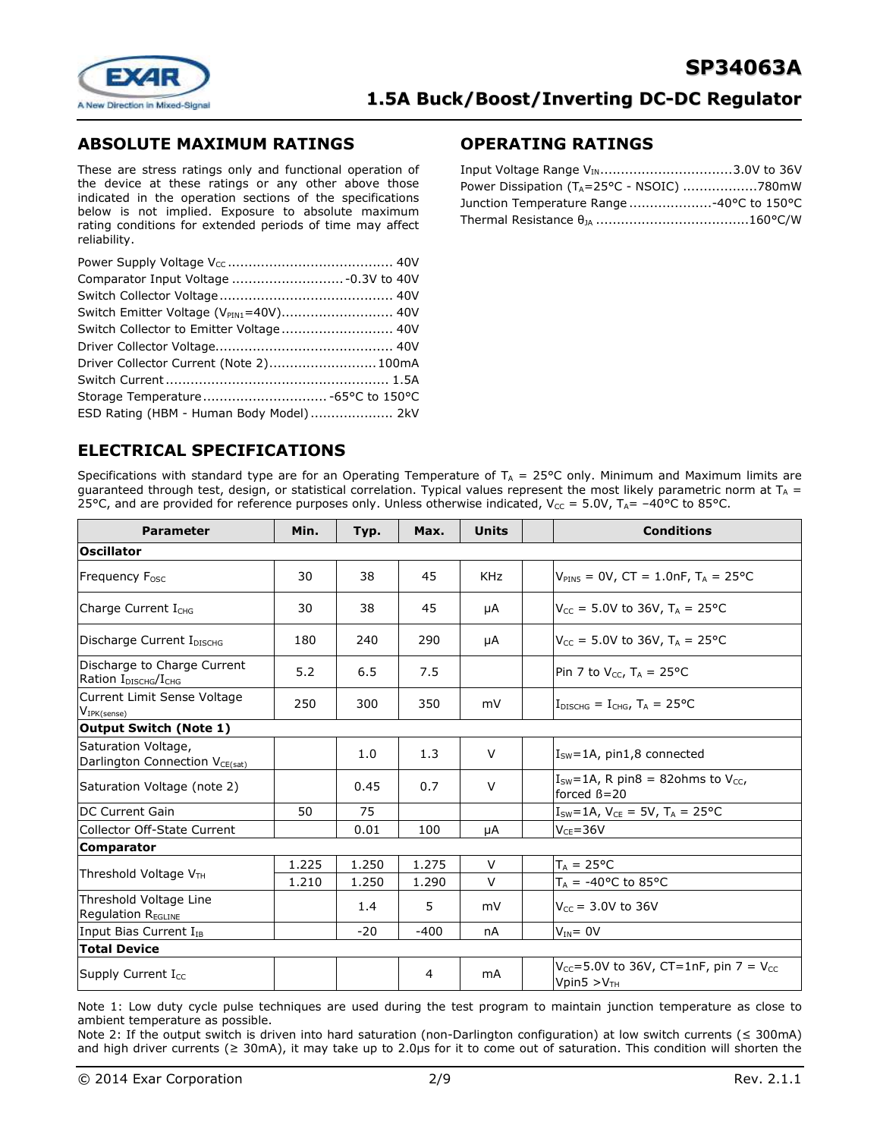

# **ABSOLUTE MAXIMUM RATINGS**

These are stress ratings only and functional operation of the device at these ratings or any other above those indicated in the operation sections of the specifications below is not implied. Exposure to absolute maximum rating conditions for extended periods of time may affect reliability.

| Switch Emitter Voltage (V <sub>PIN1</sub> =40V) 40V |  |
|-----------------------------------------------------|--|
| Switch Collector to Emitter Voltage 40V             |  |
|                                                     |  |
| Driver Collector Current (Note 2) 100mA             |  |
|                                                     |  |
| Storage Temperature -65°C to 150°C                  |  |
| ESD Rating (HBM - Human Body Model)  2kV            |  |

# **OPERATING RATINGS**

| Input Voltage Range V <sub>IN</sub> 3.0V to 36V |  |
|-------------------------------------------------|--|
|                                                 |  |
| Junction Temperature Range 40°C to 150°C        |  |
|                                                 |  |

# **ELECTRICAL SPECIFICATIONS**

Specifications with standard type are for an Operating Temperature of  $T_A = 25^{\circ}C$  only. Minimum and Maximum limits are guaranteed through test, design, or statistical correlation. Typical values represent the most likely parametric norm at  $T_A$  = 25°C, and are provided for reference purposes only. Unless otherwise indicated,  $V_{CC} = 5.0V$ ,  $T_{A} = -40^{\circ}$ C to 85°C.

| <b>Parameter</b>                                                            | Min.  | Typ.  | Max.           | <b>Units</b> | <b>Conditions</b>                                                           |
|-----------------------------------------------------------------------------|-------|-------|----------------|--------------|-----------------------------------------------------------------------------|
| <b>Oscillator</b>                                                           |       |       |                |              |                                                                             |
| Frequency F <sub>osc</sub>                                                  | 30    | 38    | 45             | <b>KHz</b>   | $V_{PIN5} = 0V$ , CT = 1.0nF, T <sub>A</sub> = 25°C                         |
| Charge Current I <sub>CHG</sub>                                             | 30    | 38    | 45             | μA           | $V_{CC}$ = 5.0V to 36V, T <sub>A</sub> = 25°C                               |
| Discharge Current IDISCHG                                                   | 180   | 240   | 290            | μA           | $V_{CC}$ = 5.0V to 36V, T <sub>A</sub> = 25 °C                              |
| Discharge to Charge Current<br>Ration I <sub>DISCHG</sub> /I <sub>CHG</sub> | 5.2   | 6.5   | 7.5            |              | Pin 7 to $V_{CC}$ , T <sub>A</sub> = 25°C                                   |
| Current Limit Sense Voltage<br>$V_{IPK(sense)}$                             | 250   | 300   | 350            | mV           | $I_{\text{DISCHG}} = I_{\text{CHG}}$ , $T_A = 25$ °C                        |
| <b>Output Switch (Note 1)</b>                                               |       |       |                |              |                                                                             |
| Saturation Voltage,<br>Darlington Connection V <sub>CE(sat)</sub>           |       | 1.0   | 1.3            | $\vee$       | $Isw=1A$ , pin1,8 connected                                                 |
| Saturation Voltage (note 2)                                                 |       | 0.45  | 0.7            | $\vee$       | $I_{SW} = 1A$ , R pin8 = 82ohms to V <sub>cc</sub> ,<br>forced $\beta = 20$ |
| <b>IDC Current Gain</b>                                                     | 50    | 75    |                |              | $I_{SW} = 1A$ , $V_{CE} = 5V$ , $T_A = 25^{\circ}C$                         |
| Collector Off-State Current                                                 |       | 0.01  | 100            | μA           | $V_{CF} = 36V$                                                              |
| <b>Comparator</b>                                                           |       |       |                |              |                                                                             |
|                                                                             | 1.225 | 1.250 | 1.275          | $\vee$       | $T_A = 25^{\circ}C$                                                         |
| Threshold Voltage $VTH$                                                     | 1.210 | 1.250 | 1.290          | $\vee$       | $T_A$ = -40°C to 85°C                                                       |
| Threshold Voltage Line<br>Regulation REGLINE                                |       | 1.4   | 5              | mV           | $V_{CC}$ = 3.0V to 36V                                                      |
| Input Bias Current I <sub>IB</sub>                                          |       | $-20$ | $-400$         | nA           | $V_{IN} = 0V$                                                               |
| <b>Total Device</b>                                                         |       |       |                |              |                                                                             |
| Supply Current $I_{CC}$                                                     |       |       | $\overline{4}$ | mA           | $V_{CC}$ =5.0V to 36V, CT=1nF, pin 7 = V <sub>CC</sub><br>Vpin5 $>VTH$      |

Note 1: Low duty cycle pulse techniques are used during the test program to maintain junction temperature as close to ambient temperature as possible.

Note 2: If the output switch is driven into hard saturation (non-Darlington configuration) at low switch currents (≤ 300mA) and high driver currents (≥ 30mA), it may take up to 2.0µs for it to come out of saturation. This condition will shorten the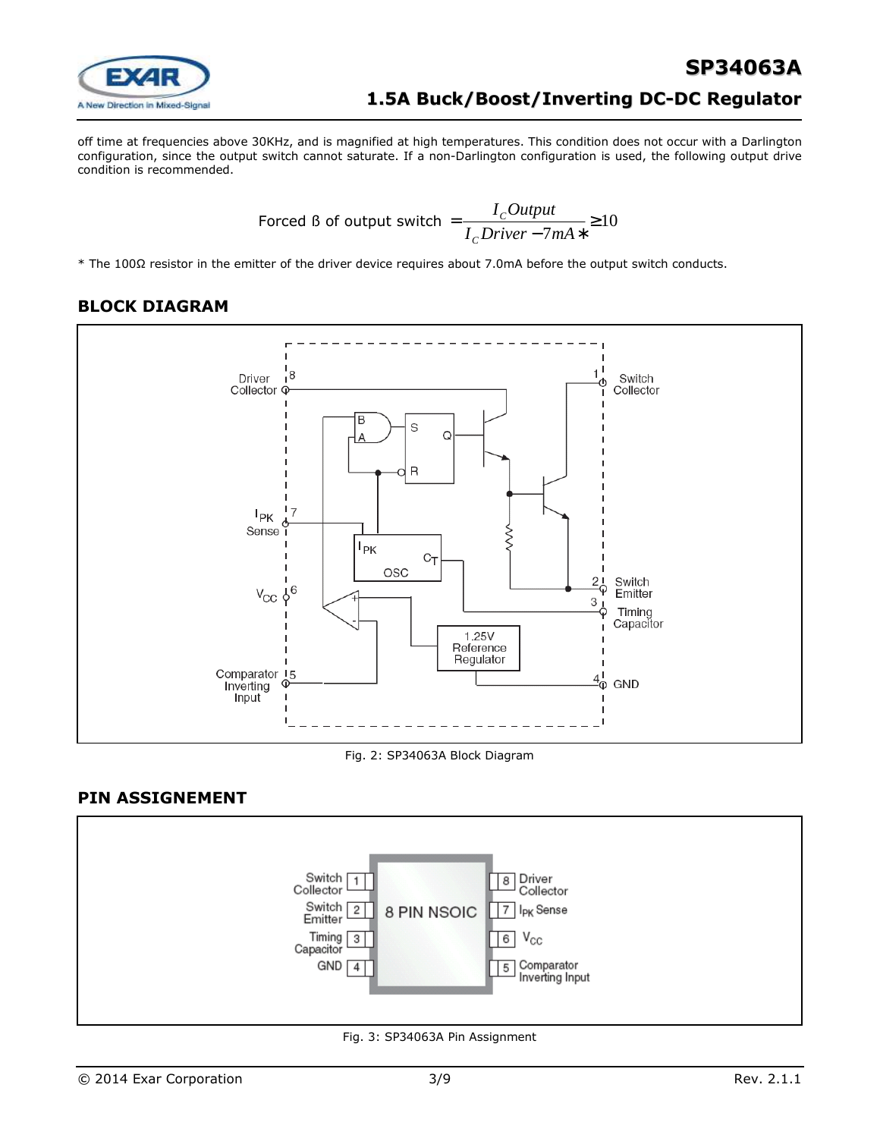

off time at frequencies above 30KHz, and is magnified at high temperatures. This condition does not occur with a Darlington configuration, since the output switch cannot saturate. If a non-Darlington configuration is used, the following output drive condition is recommended.

$$
Forced B of output switch = \frac{I_cOutput}{I_cDiriver - 7mA*} \ge 10
$$

\* The 100Ω resistor in the emitter of the driver device requires about 7.0mA before the output switch conducts.

# **BLOCK DIAGRAM**



#### Fig. 2: SP34063A Block Diagram

### **PIN ASSIGNEMENT**



Fig. 3: SP34063A Pin Assignment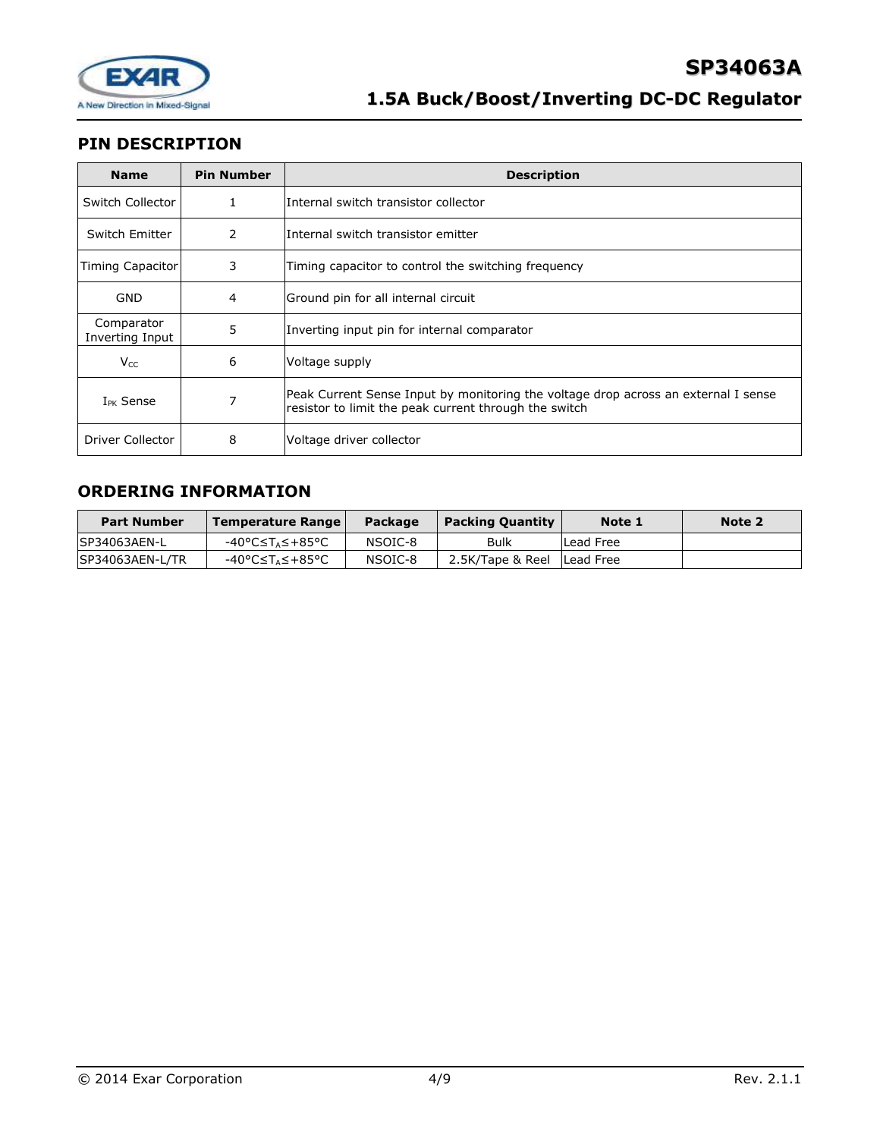

# **PIN DESCRIPTION**

| <b>Name</b>                   | <b>Pin Number</b> | <b>Description</b>                                                                                                                          |  |  |
|-------------------------------|-------------------|---------------------------------------------------------------------------------------------------------------------------------------------|--|--|
| Switch Collector              | 1                 | Internal switch transistor collector                                                                                                        |  |  |
| Switch Emitter                | 2                 | Internal switch transistor emitter                                                                                                          |  |  |
| Timing Capacitor              | 3                 | Timing capacitor to control the switching frequency                                                                                         |  |  |
| GND                           | 4                 | Ground pin for all internal circuit                                                                                                         |  |  |
| Comparator<br>Inverting Input | 5                 | Inverting input pin for internal comparator                                                                                                 |  |  |
| $V_{CC}$                      | 6                 | Voltage supply                                                                                                                              |  |  |
| $I_{PK}$ Sense                | 7                 | Peak Current Sense Input by monitoring the voltage drop across an external I sense<br>resistor to limit the peak current through the switch |  |  |
| Driver Collector              | 8                 | Voltage driver collector                                                                                                                    |  |  |

# **ORDERING INFORMATION**

| <b>Part Number</b> | Temperature Range | Package | <b>Packing Quantity</b>      | Note 1    | Note 2 |
|--------------------|-------------------|---------|------------------------------|-----------|--------|
| ISP34063AEN-L      | -40°C≤T⊿≤+85°C    | NSOIC-8 | Bulk                         | Lead Free |        |
| SP34063AEN-L/TR    | -40°C≤T∆≤+85°C    | NSOIC-8 | 2.5K/Tape & Reel   Lead Free |           |        |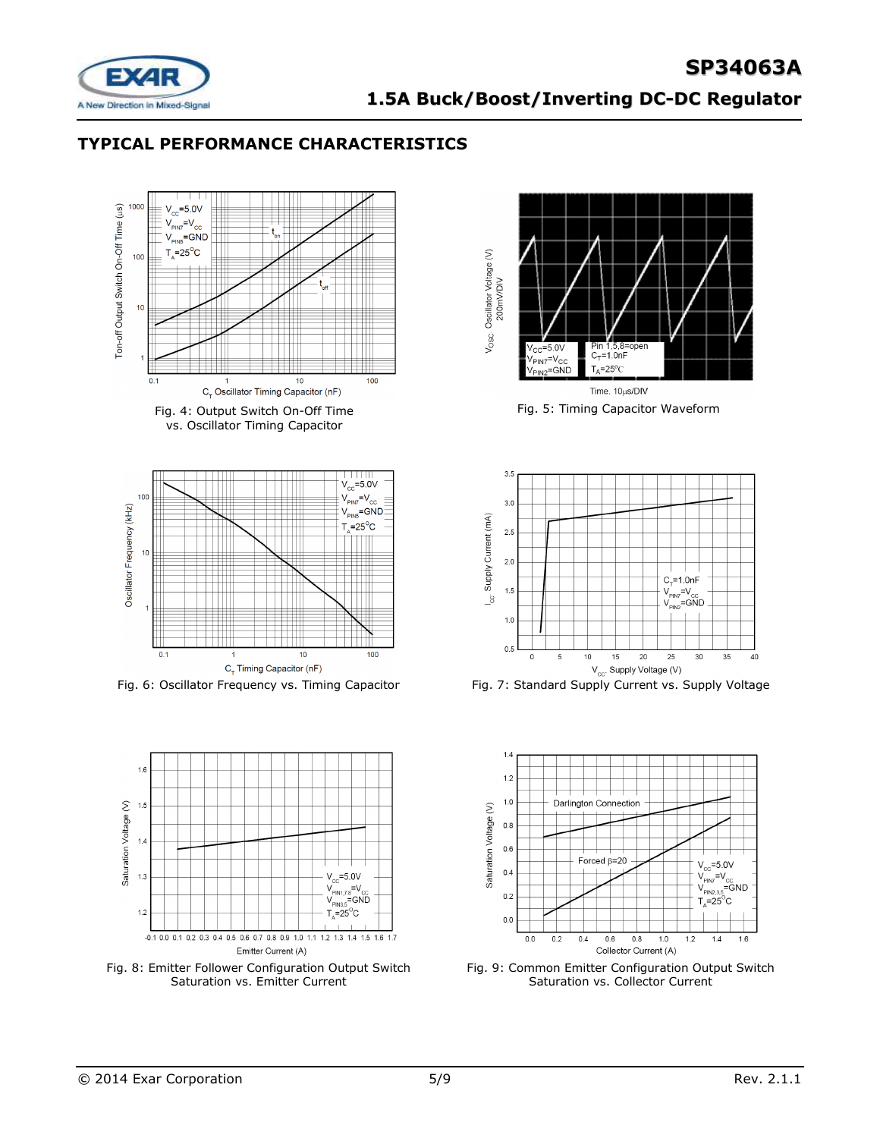

# **TYPICAL PERFORMANCE CHARACTERISTICS**



Fig. 4: Output Switch On-Off Time vs. Oscillator Timing Capacitor





Fig. 8: Emitter Follower Configuration Output Switch Saturation vs. Emitter Current



Fig. 5: Timing Capacitor Waveform



Fig. 6: Oscillator Frequency vs. Timing Capacitor Fig. 7: Standard Supply Current vs. Supply Voltage



Fig. 9: Common Emitter Configuration Output Switch Saturation vs. Collector Current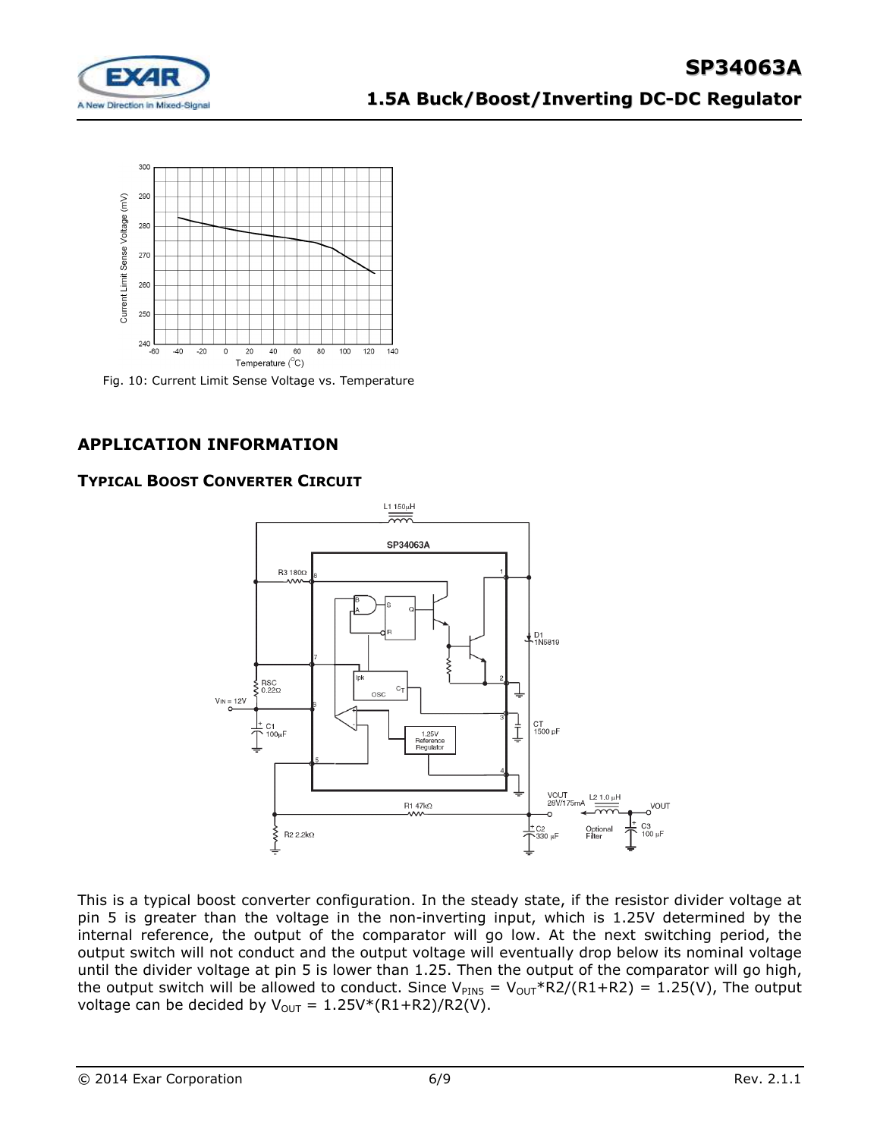



Fig. 10: Current Limit Sense Voltage vs. Temperature

# **APPLICATION INFORMATION**

# **TYPICAL BOOST CONVERTER CIRCUIT**



This is a typical boost converter configuration. In the steady state, if the resistor divider voltage at pin 5 is greater than the voltage in the non-inverting input, which is 1.25V determined by the internal reference, the output of the comparator will go low. At the next switching period, the output switch will not conduct and the output voltage will eventually drop below its nominal voltage until the divider voltage at pin 5 is lower than 1.25. Then the output of the comparator will go high, the output switch will be allowed to conduct. Since  $V_{PINS} = V_{OUT} * R2/(R1+R2) = 1.25(V)$ , The output voltage can be decided by  $V_{OUT} = 1.25V*(R1+R2)/R2(V)$ .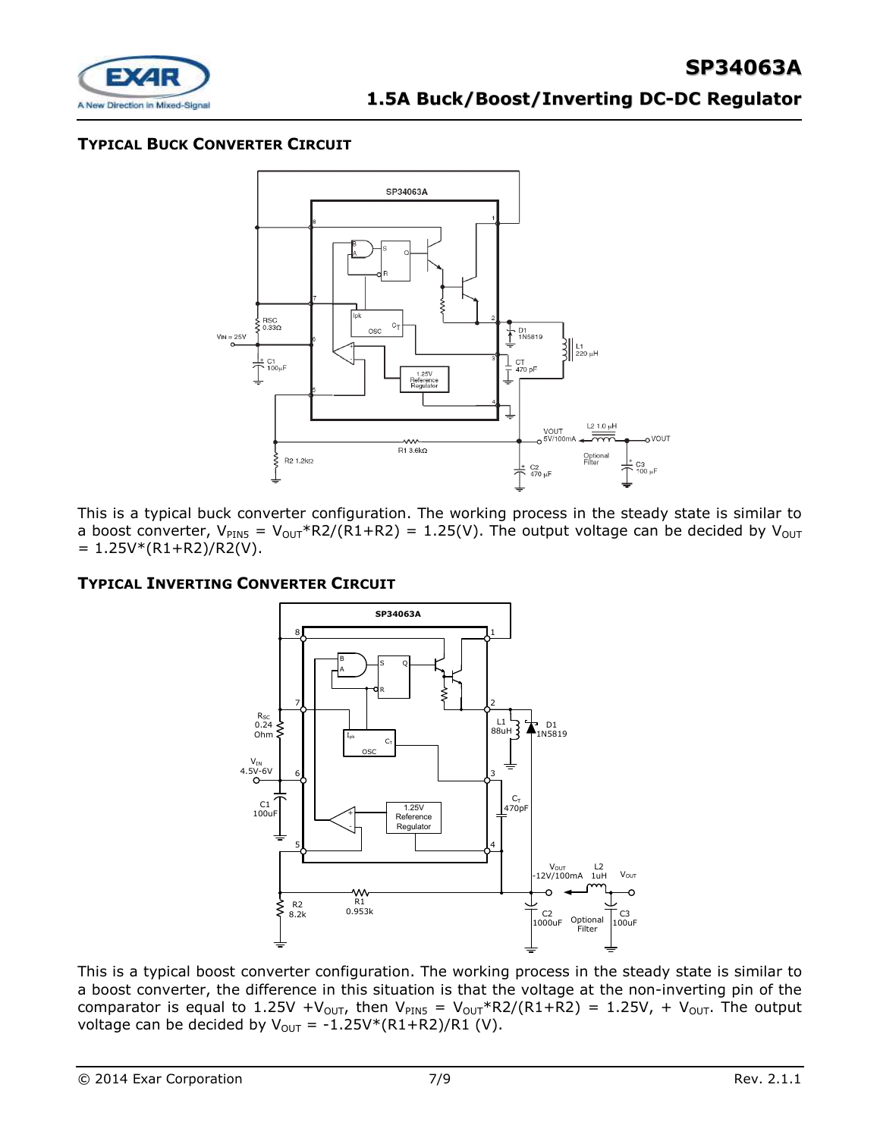

# **TYPICAL BUCK CONVERTER CIRCUIT**



This is a typical buck converter configuration. The working process in the steady state is similar to a boost converter,  $V_{PINS} = V_{OUT} * R2/(R1+R2) = 1.25(V)$ . The output voltage can be decided by  $V_{OUT}$  $= 1.25V*(R1+R2)/R2(V).$ 

### **TYPICAL INVERTING CONVERTER CIRCUIT**



This is a typical boost converter configuration. The working process in the steady state is similar to a boost converter, the difference in this situation is that the voltage at the non-inverting pin of the comparator is equal to 1.25V +V<sub>OUT</sub>, then V<sub>PIN5</sub> = V<sub>OUT</sub>\*R2/(R1+R2) = 1.25V, + V<sub>OUT</sub>. The output voltage can be decided by  $V_{\text{OUT}} = -1.25V*(R1+R2)/R1$  (V).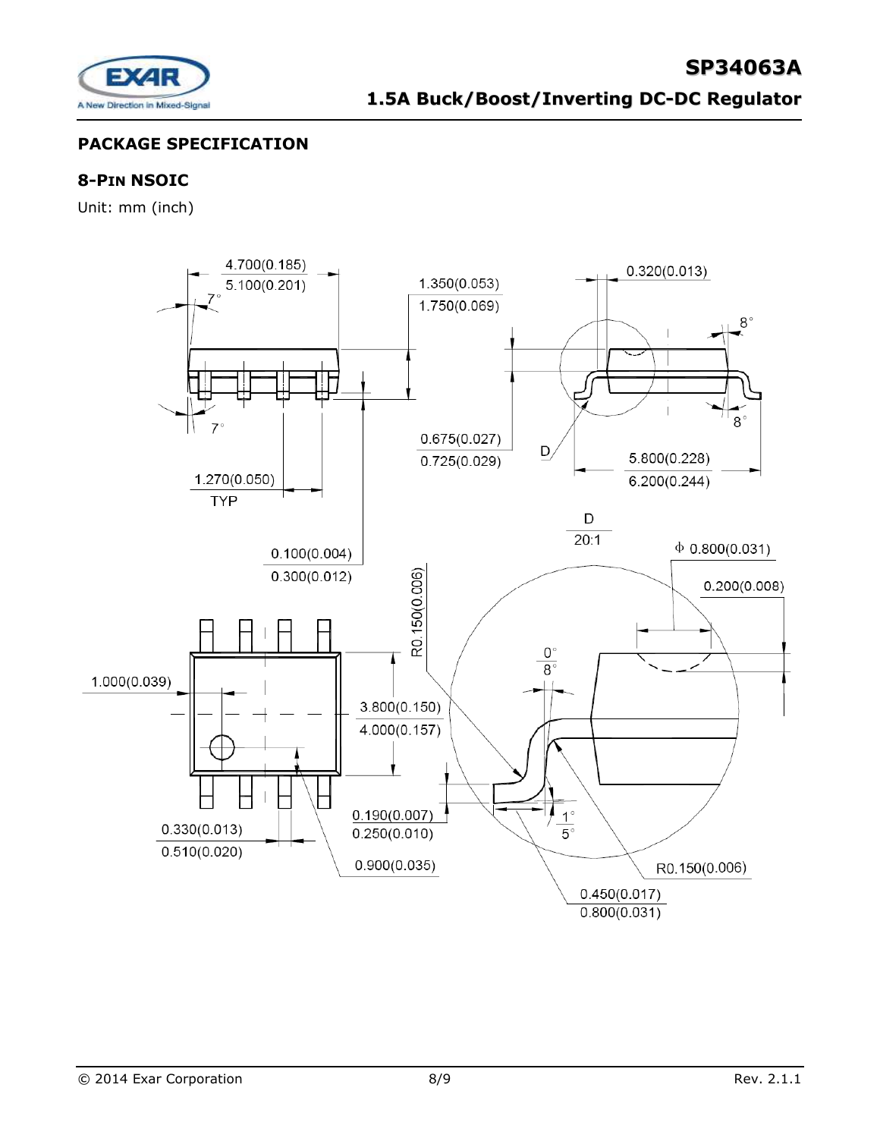

# **PACKAGE SPECIFICATION**

# **8-PIN NSOIC**

Unit: mm (inch)